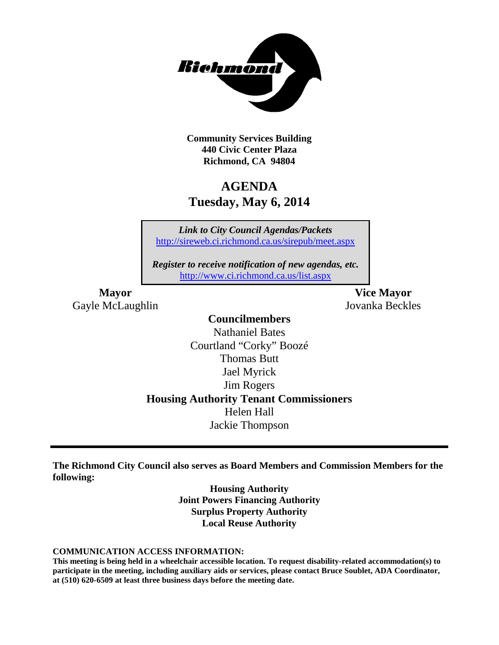

**Community Services Building 440 Civic Center Plaza Richmond, CA 94804**

## **AGENDA Tuesday, May 6, 2014**

*Link to City Council Agendas/Packets* <http://sireweb.ci.richmond.ca.us/sirepub/meet.aspx>

*Register to receive notification of new agendas, etc.* <http://www.ci.richmond.ca.us/list.aspx>

Gayle McLaughlin Jovanka Beckles

**Mayor Vice Mayor**

### **Councilmembers**

Nathaniel Bates Courtland "Corky" Boozé Thomas Butt Jael Myrick Jim Rogers **Housing Authority Tenant Commissioners** Helen Hall Jackie Thompson

**The Richmond City Council also serves as Board Members and Commission Members for the following:**

> **Housing Authority Joint Powers Financing Authority Surplus Property Authority Local Reuse Authority**

#### **COMMUNICATION ACCESS INFORMATION:**

**This meeting is being held in a wheelchair accessible location. To request disability-related accommodation(s) to participate in the meeting, including auxiliary aids or services, please contact Bruce Soublet, ADA Coordinator, at (510) 620-6509 at least three business days before the meeting date.**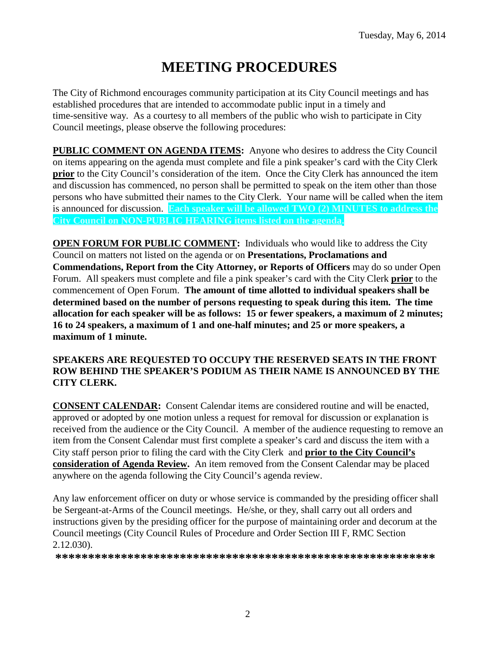# **MEETING PROCEDURES**

The City of Richmond encourages community participation at its City Council meetings and has established procedures that are intended to accommodate public input in a timely and time-sensitive way. As a courtesy to all members of the public who wish to participate in City Council meetings, please observe the following procedures:

**PUBLIC COMMENT ON AGENDA ITEMS:** Anyone who desires to address the City Council on items appearing on the agenda must complete and file a pink speaker's card with the City Clerk **prior** to the City Council's consideration of the item. Once the City Clerk has announced the item and discussion has commenced, no person shall be permitted to speak on the item other than those persons who have submitted their names to the City Clerk. Your name will be called when the item is announced for discussion. **Each speaker will be allowed TWO (2) MINUTES to address the City Council on NON-PUBLIC HEARING items listed on the agenda.**

**OPEN FORUM FOR PUBLIC COMMENT:** Individuals who would like to address the City Council on matters not listed on the agenda or on **Presentations, Proclamations and Commendations, Report from the City Attorney, or Reports of Officers** may do so under Open Forum. All speakers must complete and file a pink speaker's card with the City Clerk **prior** to the commencement of Open Forum. **The amount of time allotted to individual speakers shall be determined based on the number of persons requesting to speak during this item. The time allocation for each speaker will be as follows: 15 or fewer speakers, a maximum of 2 minutes; 16 to 24 speakers, a maximum of 1 and one-half minutes; and 25 or more speakers, a maximum of 1 minute.**

#### **SPEAKERS ARE REQUESTED TO OCCUPY THE RESERVED SEATS IN THE FRONT ROW BEHIND THE SPEAKER'S PODIUM AS THEIR NAME IS ANNOUNCED BY THE CITY CLERK.**

**CONSENT CALENDAR:** Consent Calendar items are considered routine and will be enacted, approved or adopted by one motion unless a request for removal for discussion or explanation is received from the audience or the City Council. A member of the audience requesting to remove an item from the Consent Calendar must first complete a speaker's card and discuss the item with a City staff person prior to filing the card with the City Clerk and **prior to the City Council's consideration of Agenda Review.** An item removed from the Consent Calendar may be placed anywhere on the agenda following the City Council's agenda review.

Any law enforcement officer on duty or whose service is commanded by the presiding officer shall be Sergeant-at-Arms of the Council meetings. He/she, or they, shall carry out all orders and instructions given by the presiding officer for the purpose of maintaining order and decorum at the Council meetings (City Council Rules of Procedure and Order Section III F, RMC Section 2.12.030).

**\*\*\*\*\*\*\*\*\*\*\*\*\*\*\*\*\*\*\*\*\*\*\*\*\*\*\*\*\*\*\*\*\*\*\*\*\*\*\*\*\*\*\*\*\*\*\*\*\*\*\*\*\*\*\*\*\*\***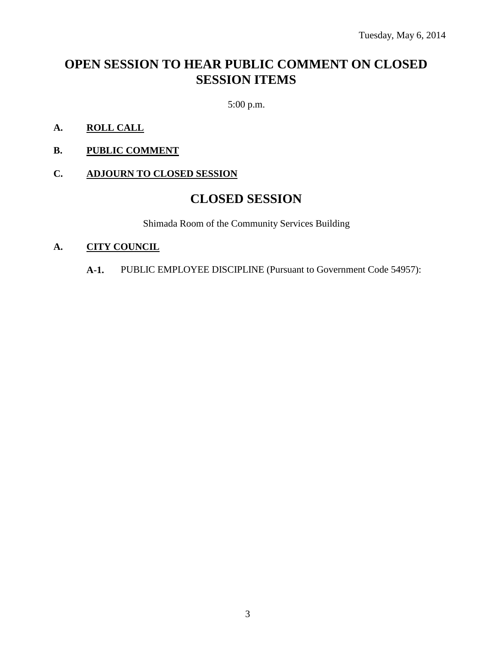## **OPEN SESSION TO HEAR PUBLIC COMMENT ON CLOSED SESSION ITEMS**

5:00 p.m.

- **A. ROLL CALL**
- **B. PUBLIC COMMENT**
- **C. ADJOURN TO CLOSED SESSION**

### **CLOSED SESSION**

Shimada Room of the Community Services Building

#### **A. CITY COUNCIL**

**A-1.** PUBLIC EMPLOYEE DISCIPLINE (Pursuant to Government Code 54957):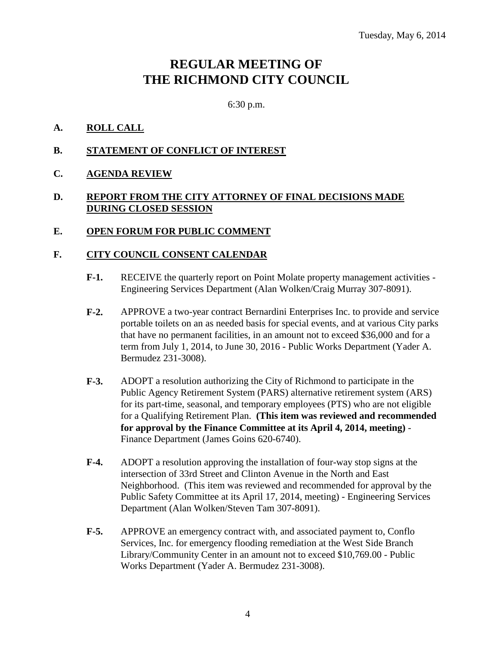### **REGULAR MEETING OF THE RICHMOND CITY COUNCIL**

6:30 p.m.

#### **A. ROLL CALL**

- **B. STATEMENT OF CONFLICT OF INTEREST**
- **C. AGENDA REVIEW**

#### **D. REPORT FROM THE CITY ATTORNEY OF FINAL DECISIONS MADE DURING CLOSED SESSION**

#### **E. OPEN FORUM FOR PUBLIC COMMENT**

#### **F. CITY COUNCIL CONSENT CALENDAR**

- **F-1.** RECEIVE the quarterly report on Point Molate property management activities Engineering Services Department (Alan Wolken/Craig Murray 307-8091).
- **F-2.** APPROVE a two-year contract Bernardini Enterprises Inc. to provide and service portable toilets on an as needed basis for special events, and at various City parks that have no permanent facilities, in an amount not to exceed \$36,000 and for a term from July 1, 2014, to June 30, 2016 - Public Works Department (Yader A. Bermudez 231-3008).
- **F-3.** ADOPT a resolution authorizing the City of Richmond to participate in the Public Agency Retirement System (PARS) alternative retirement system (ARS) for its part-time, seasonal, and temporary employees (PTS) who are not eligible for a Qualifying Retirement Plan. **(This item was reviewed and recommended for approval by the Finance Committee at its April 4, 2014, meeting)** - Finance Department (James Goins 620-6740).
- **F-4.** ADOPT a resolution approving the installation of four-way stop signs at the intersection of 33rd Street and Clinton Avenue in the North and East Neighborhood. (This item was reviewed and recommended for approval by the Public Safety Committee at its April 17, 2014, meeting) - Engineering Services Department (Alan Wolken/Steven Tam 307-8091).
- **F-5.** APPROVE an emergency contract with, and associated payment to, Conflo Services, Inc. for emergency flooding remediation at the West Side Branch Library/Community Center in an amount not to exceed \$10,769.00 - Public Works Department (Yader A. Bermudez 231-3008).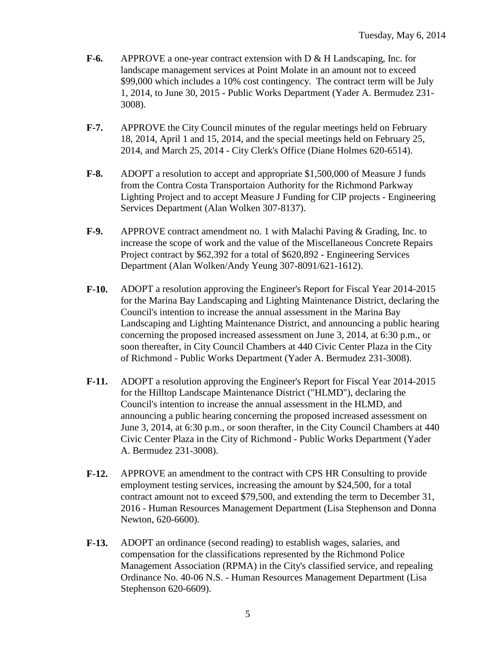- **F-6.** APPROVE a one-year contract extension with D & H Landscaping, Inc. for landscape management services at Point Molate in an amount not to exceed \$99,000 which includes a 10% cost contingency. The contract term will be July 1, 2014, to June 30, 2015 - Public Works Department (Yader A. Bermudez 231- 3008).
- **F-7.** APPROVE the City Council minutes of the regular meetings held on February 18, 2014, April 1 and 15, 2014, and the special meetings held on February 25, 2014, and March 25, 2014 - City Clerk's Office (Diane Holmes 620-6514).
- **F-8.** ADOPT a resolution to accept and appropriate \$1,500,000 of Measure J funds from the Contra Costa Transportaion Authority for the Richmond Parkway Lighting Project and to accept Measure J Funding for CIP projects - Engineering Services Department (Alan Wolken 307-8137).
- **F-9.** APPROVE contract amendment no. 1 with Malachi Paving & Grading, Inc. to increase the scope of work and the value of the Miscellaneous Concrete Repairs Project contract by \$62,392 for a total of \$620,892 - Engineering Services Department (Alan Wolken/Andy Yeung 307-8091/621-1612).
- **F-10.** ADOPT a resolution approving the Engineer's Report for Fiscal Year 2014-2015 for the Marina Bay Landscaping and Lighting Maintenance District, declaring the Council's intention to increase the annual assessment in the Marina Bay Landscaping and Lighting Maintenance District, and announcing a public hearing concerning the proposed increased assessment on June 3, 2014, at 6:30 p.m., or soon thereafter, in City Council Chambers at 440 Civic Center Plaza in the City of Richmond - Public Works Department (Yader A. Bermudez 231-3008).
- **F-11.** ADOPT a resolution approving the Engineer's Report for Fiscal Year 2014-2015 for the Hilltop Landscape Maintenance District ("HLMD"), declaring the Council's intention to increase the annual assessment in the HLMD, and announcing a public hearing concerning the proposed increased assessment on June 3, 2014, at 6:30 p.m., or soon therafter, in the City Council Chambers at 440 Civic Center Plaza in the City of Richmond - Public Works Department (Yader A. Bermudez 231-3008).
- **F-12.** APPROVE an amendment to the contract with CPS HR Consulting to provide employment testing services, increasing the amount by \$24,500, for a total contract amount not to exceed \$79,500, and extending the term to December 31, 2016 - Human Resources Management Department (Lisa Stephenson and Donna Newton, 620-6600).
- **F-13.** ADOPT an ordinance (second reading) to establish wages, salaries, and compensation for the classifications represented by the Richmond Police Management Association (RPMA) in the City's classified service, and repealing Ordinance No. 40-06 N.S. - Human Resources Management Department (Lisa Stephenson 620-6609).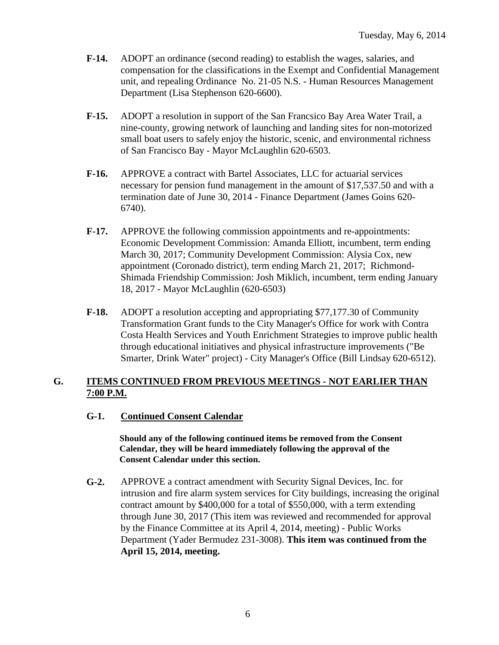- **F-14.** ADOPT an ordinance (second reading) to establish the wages, salaries, and compensation for the classifications in the Exempt and Confidential Management unit, and repealing Ordinance No. 21-05 N.S. - Human Resources Management Department (Lisa Stephenson 620-6600).
- **F-15.** ADOPT a resolution in support of the San Francsico Bay Area Water Trail, a nine-county, growing network of launching and landing sites for non-motorized small boat users to safely enjoy the historic, scenic, and environmental richness of San Francisco Bay - Mayor McLaughlin 620-6503.
- **F-16.** APPROVE a contract with Bartel Associates, LLC for actuarial services necessary for pension fund management in the amount of \$17,537.50 and with a termination date of June 30, 2014 - Finance Department (James Goins 620- 6740).
- **F-17.** APPROVE the following commission appointments and re-appointments: Economic Development Commission: Amanda Elliott, incumbent, term ending March 30, 2017; Community Development Commission: Alysia Cox, new appointment (Coronado district), term ending March 21, 2017; Richmond-Shimada Friendship Commission: Josh Miklich, incumbent, term ending January 18, 2017 - Mayor McLaughlin (620-6503)
- **F-18.** ADOPT a resolution accepting and appropriating \$77,177.30 of Community Transformation Grant funds to the City Manager's Office for work with Contra Costa Health Services and Youth Enrichment Strategies to improve public health through educational initiatives and physical infrastructure improvements ("Be Smarter, Drink Water" project) - City Manager's Office (Bill Lindsay 620-6512).

#### **G. ITEMS CONTINUED FROM PREVIOUS MEETINGS - NOT EARLIER THAN 7:00 P.M.**

#### **G-1. Continued Consent Calendar**

**Should any of the following continued items be removed from the Consent Calendar, they will be heard immediately following the approval of the Consent Calendar under this section.**

**G-2.** APPROVE a contract amendment with Security Signal Devices, Inc. for intrusion and fire alarm system services for City buildings, increasing the original contract amount by \$400,000 for a total of \$550,000, with a term extending through June 30, 2017 (This item was reviewed and recommended for approval by the Finance Committee at its April 4, 2014, meeting) - Public Works Department (Yader Bermudez 231-3008). **This item was continued from the April 15, 2014, meeting.**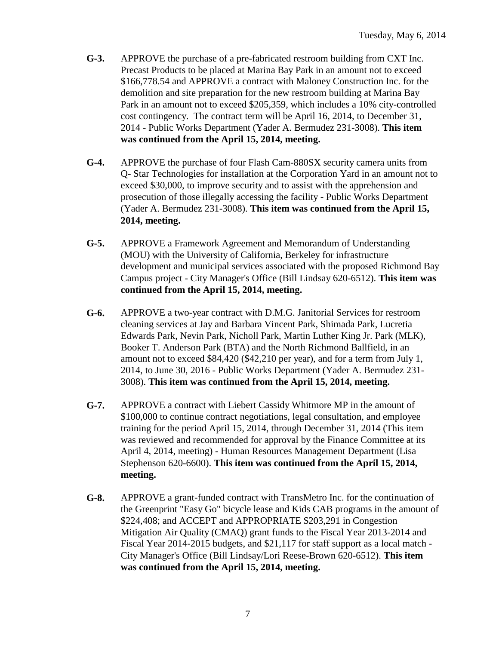- **G-3.** APPROVE the purchase of a pre-fabricated restroom building from CXT Inc. Precast Products to be placed at Marina Bay Park in an amount not to exceed \$166,778.54 and APPROVE a contract with Maloney Construction Inc. for the demolition and site preparation for the new restroom building at Marina Bay Park in an amount not to exceed \$205,359, which includes a 10% city-controlled cost contingency. The contract term will be April 16, 2014, to December 31, 2014 - Public Works Department (Yader A. Bermudez 231-3008). **This item was continued from the April 15, 2014, meeting.**
- **G-4.** APPROVE the purchase of four Flash Cam-880SX security camera units from Q- Star Technologies for installation at the Corporation Yard in an amount not to exceed \$30,000, to improve security and to assist with the apprehension and prosecution of those illegally accessing the facility - Public Works Department (Yader A. Bermudez 231-3008). **This item was continued from the April 15, 2014, meeting.**
- **G-5.** APPROVE a Framework Agreement and Memorandum of Understanding (MOU) with the University of California, Berkeley for infrastructure development and municipal services associated with the proposed Richmond Bay Campus project - City Manager's Office (Bill Lindsay 620-6512). **This item was continued from the April 15, 2014, meeting.**
- **G-6.** APPROVE a two-year contract with D.M.G. Janitorial Services for restroom cleaning services at Jay and Barbara Vincent Park, Shimada Park, Lucretia Edwards Park, Nevin Park, Nicholl Park, Martin Luther King Jr. Park (MLK), Booker T. Anderson Park (BTA) and the North Richmond Ballfield, in an amount not to exceed \$84,420 (\$42,210 per year), and for a term from July 1, 2014, to June 30, 2016 - Public Works Department (Yader A. Bermudez 231- 3008). **This item was continued from the April 15, 2014, meeting.**
- **G-7.** APPROVE a contract with Liebert Cassidy Whitmore MP in the amount of \$100,000 to continue contract negotiations, legal consultation, and employee training for the period April 15, 2014, through December 31, 2014 (This item was reviewed and recommended for approval by the Finance Committee at its April 4, 2014, meeting) - Human Resources Management Department (Lisa Stephenson 620-6600). **This item was continued from the April 15, 2014, meeting.**
- **G-8.** APPROVE a grant-funded contract with TransMetro Inc. for the continuation of the Greenprint "Easy Go" bicycle lease and Kids CAB programs in the amount of \$224,408; and ACCEPT and APPROPRIATE \$203,291 in Congestion Mitigation Air Quality (CMAQ) grant funds to the Fiscal Year 2013-2014 and Fiscal Year 2014-2015 budgets, and \$21,117 for staff support as a local match - City Manager's Office (Bill Lindsay/Lori Reese-Brown 620-6512). **This item was continued from the April 15, 2014, meeting.**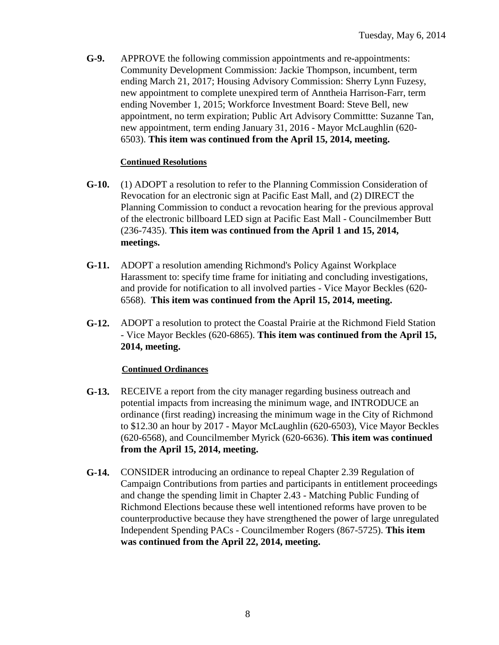**G-9.** APPROVE the following commission appointments and re-appointments: Community Development Commission: Jackie Thompson, incumbent, term ending March 21, 2017; Housing Advisory Commission: Sherry Lynn Fuzesy, new appointment to complete unexpired term of Anntheia Harrison-Farr, term ending November 1, 2015; Workforce Investment Board: Steve Bell, new appointment, no term expiration; Public Art Advisory Committte: Suzanne Tan, new appointment, term ending January 31, 2016 - Mayor McLaughlin (620- 6503). **This item was continued from the April 15, 2014, meeting.**

#### **Continued Resolutions**

- **G-10.** (1) ADOPT a resolution to refer to the Planning Commission Consideration of Revocation for an electronic sign at Pacific East Mall, and (2) DIRECT the Planning Commission to conduct a revocation hearing for the previous approval of the electronic billboard LED sign at Pacific East Mall - Councilmember Butt (236-7435). **This item was continued from the April 1 and 15, 2014, meetings.**
- **G-11.** ADOPT a resolution amending Richmond's Policy Against Workplace Harassment to: specify time frame for initiating and concluding investigations, and provide for notification to all involved parties - Vice Mayor Beckles (620- 6568). **This item was continued from the April 15, 2014, meeting.**
- **G-12.** ADOPT a resolution to protect the Coastal Prairie at the Richmond Field Station - Vice Mayor Beckles (620-6865). **This item was continued from the April 15, 2014, meeting.**

#### **Continued Ordinances**

- **G-13.** RECEIVE a report from the city manager regarding business outreach and potential impacts from increasing the minimum wage, and INTRODUCE an ordinance (first reading) increasing the minimum wage in the City of Richmond to \$12.30 an hour by 2017 - Mayor McLaughlin (620-6503), Vice Mayor Beckles (620-6568), and Councilmember Myrick (620-6636). **This item was continued from the April 15, 2014, meeting.**
- **G-14.** CONSIDER introducing an ordinance to repeal Chapter 2.39 Regulation of Campaign Contributions from parties and participants in entitlement proceedings and change the spending limit in Chapter 2.43 - Matching Public Funding of Richmond Elections because these well intentioned reforms have proven to be counterproductive because they have strengthened the power of large unregulated Independent Spending PACs - Councilmember Rogers (867-5725). **This item was continued from the April 22, 2014, meeting.**